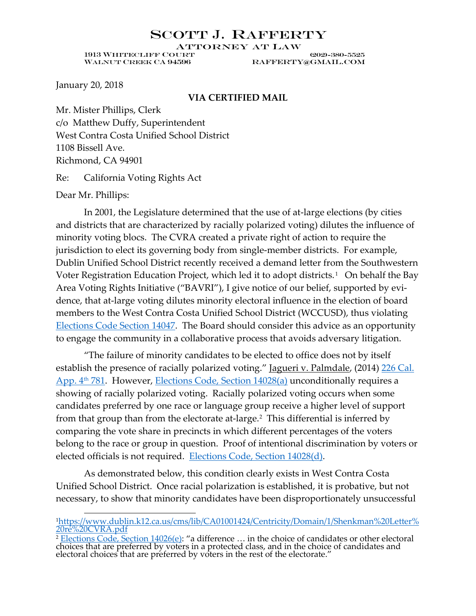#### SCOTT J. RAFFERTY

**ATTORNEY AT LAW** 

WALNUT CREEK CA 94596 RAFFERTY@GMAIL.COM

1913 Whitecliff Court (202)-380-5525

January 20, 2018

#### **VIA CERTIFIED MAIL**

Mr. Mister Phillips, Clerk c/o Matthew Duffy, Superintendent West Contra Costa Unified School District 1108 Bissell Ave. Richmond, CA 94901

Re: California Voting Rights Act

Dear Mr. Phillips:

In 2001, the Legislature determined that the use of at-large elections (by cities and districts that are characterized by racially polarized voting) dilutes the influence of minority voting blocs. The CVRA created a private right of action to require the jurisdiction to elect its governing body from single-member districts. For example, Dublin Unified School District recently received a demand letter from the Southwestern Voter Registration Education Project, which led it to adopt districts.<sup>[1](#page-0-0)</sup> On behalf the Bay Area Voting Rights Initiative ("BAVRI"), I give notice of our belief, supported by evidence, that at-large voting dilutes minority electoral influence in the election of board members to the West Contra Costa Unified School District (WCCUSD), thus violating [Elections Code Section 14047.](https://leginfo.legislature.ca.gov/faces/codes_displaySection.xhtml?sectionNum=14047.&lawCode=ELEC) The Board should consider this advice as an opportunity to engage the community in a collaborative process that avoids adversary litigation.

"The failure of minority candidates to be elected to office does not by itself establish the presence of racially polarized voting." Jagueri v. Palmdale, (2014) 226 Cal. App. 4<sup>th</sup> 781. However, [Elections Code, Section 14028\(a\)](https://leginfo.legislature.ca.gov/faces/codes_displaySection.xhtml?sectionNum=14028.&lawCode=ELEC) unconditionally requires a showing of racially polarized voting. Racially polarized voting occurs when some candidates preferred by one race or language group receive a higher level of support from that group than from the electorate at-large.<sup>[2](#page-0-1)</sup> This differential is inferred by comparing the vote share in precincts in which different percentages of the voters belong to the race or group in question. Proof of intentional discrimination by voters or elected officials is not required. [Elections Code, Section 14028\(d\).](https://leginfo.legislature.ca.gov/faces/codes_displaySection.xhtml?sectionNum=14028.&lawCode=ELEC)

As demonstrated below, this condition clearly exists in West Contra Costa Unified School District. Once racial polarization is established, it is probative, but not necessary, to show that minority candidates have been disproportionately unsuccessful

<span id="page-0-0"></span>[1https://www.dublin.k12.ca.us/cms/lib/CA01001424/Centricity/Domain/1/Shenkman%20Letter%](https://www.dublin.k12.ca.us/cms/lib/CA01001424/Centricity/Domain/1/Shenkman%20Letter%20re%20CVRA.pdf) [20re%20CVRA.pdf](https://www.dublin.k12.ca.us/cms/lib/CA01001424/Centricity/Domain/1/Shenkman%20Letter%20re%20CVRA.pdf)

<span id="page-0-1"></span><sup>&</sup>lt;sup>2</sup> [Elections Code, Section](https://leginfo.legislature.ca.gov/faces/codes_displaySection.xhtml?sectionNum=14026.&lawCode=ELEC)  $14026(e)$ : "a difference ... in the choice of candidates or other electoral choices that are preferred by voters in a protected class, and in the choice of candidates and electoral choices that are preferred by voters in the rest of the electorate."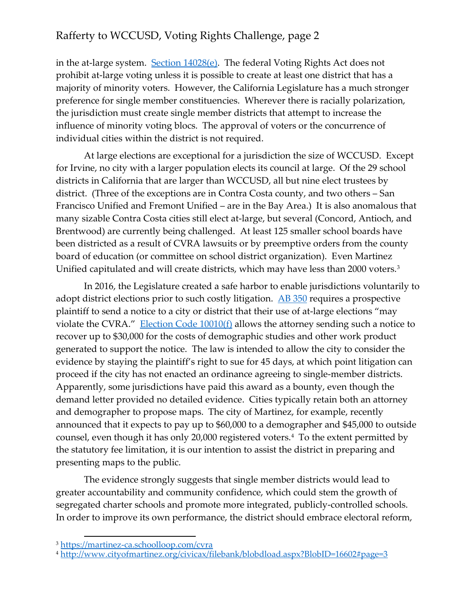in the at-large system. [Section 14028\(e\).](https://leginfo.legislature.ca.gov/faces/codes_displaySection.xhtml?sectionNum=14028.&lawCode=ELEC) The federal Voting Rights Act does not prohibit at-large voting unless it is possible to create at least one district that has a majority of minority voters. However, the California Legislature has a much stronger preference for single member constituencies. Wherever there is racially polarization, the jurisdiction must create single member districts that attempt to increase the influence of minority voting blocs. The approval of voters or the concurrence of individual cities within the district is not required.

At large elections are exceptional for a jurisdiction the size of WCCUSD. Except for Irvine, no city with a larger population elects its council at large. Of the 29 school districts in California that are larger than WCCUSD, all but nine elect trustees by district. (Three of the exceptions are in Contra Costa county, and two others – San Francisco Unified and Fremont Unified – are in the Bay Area.) It is also anomalous that many sizable Contra Costa cities still elect at-large, but several (Concord, Antioch, and Brentwood) are currently being challenged. At least 125 smaller school boards have been districted as a result of CVRA lawsuits or by preemptive orders from the county board of education (or committee on school district organization). Even Martinez Unified capitulated and will create districts, which may have less than 2000 voters. [3](#page-1-0)

In 2016, the Legislature created a safe harbor to enable jurisdictions voluntarily to adopt district elections prior to such costly litigation.  $\underline{AB}$  350 requires a prospective plaintiff to send a notice to a city or district that their use of at-large elections "may violate the CVRA." Election Code  $10010(f)$  allows the attorney sending such a notice to recover up to \$30,000 for the costs of demographic studies and other work product generated to support the notice. The law is intended to allow the city to consider the evidence by staying the plaintiff's right to sue for 45 days, at which point litigation can proceed if the city has not enacted an ordinance agreeing to single-member districts. Apparently, some jurisdictions have paid this award as a bounty, even though the demand letter provided no detailed evidence. Cities typically retain both an attorney and demographer to propose maps. The city of Martinez, for example, recently announced that it expects to pay up to \$60,000 to a demographer and \$45,000 to outside counsel, even though it has only 20,000 registered voters.[4](#page-1-1) To the extent permitted by the statutory fee limitation, it is our intention to assist the district in preparing and presenting maps to the public.

The evidence strongly suggests that single member districts would lead to greater accountability and community confidence, which could stem the growth of segregated charter schools and promote more integrated, publicly-controlled schools. In order to improve its own performance, the district should embrace electoral reform,

<span id="page-1-0"></span> <sup>3</sup> <https://martinez-ca.schoolloop.com/cvra>

<span id="page-1-1"></span><sup>4</sup> <http://www.cityofmartinez.org/civicax/filebank/blobdload.aspx?BlobID=16602#page=3>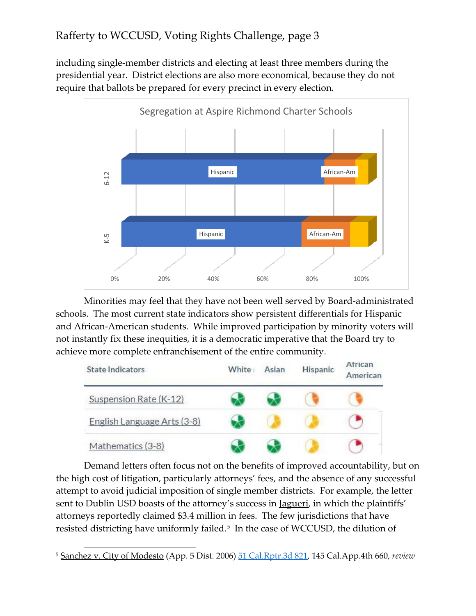including single-member districts and electing at least three members during the presidential year. District elections are also more economical, because they do not require that ballots be prepared for every precinct in every election.



Minorities may feel that they have not been well served by Board-administrated schools. The most current state indicators show persistent differentials for Hispanic and African-American students. While improved participation by minority voters will not instantly fix these inequities, it is a democratic imperative that the Board try to achieve more complete enfranchisement of the entire community.



Demand letters often focus not on the benefits of improved accountability, but on the high cost of litigation, particularly attorneys' fees, and the absence of any successful attempt to avoid judicial imposition of single member districts. For example, the letter sent to Dublin USD boasts of the attorney's success in <u>Jagueri</u>, in which the plaintiffs' attorneys reportedly claimed \$3.4 million in fees. The few jurisdictions that have resisted districting have uniformly failed.<sup>[5](#page-2-0)</sup> In the case of WCCUSD, the dilution of

<span id="page-2-0"></span> <sup>5</sup> Sanchez v. City of Modesto (App. 5 Dist. 2006) [51 Cal.Rptr.3d 821,](http://caselaw.findlaw.com/ca-court-of-appeal/1250178.html) 145 Cal.App.4th 660, *review*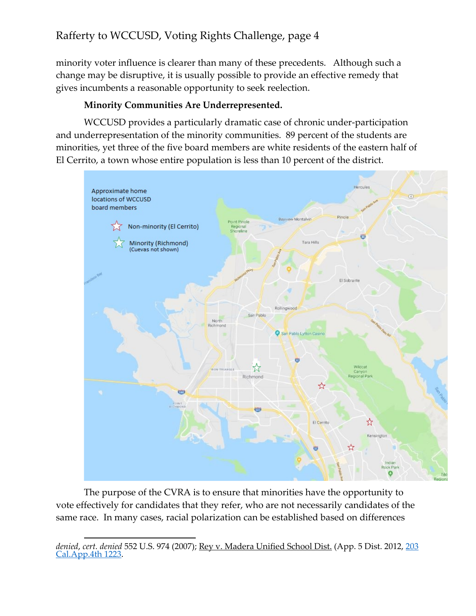minority voter influence is clearer than many of these precedents. Although such a change may be disruptive, it is usually possible to provide an effective remedy that gives incumbents a reasonable opportunity to seek reelection.

#### **Minority Communities Are Underrepresented.**

WCCUSD provides a particularly dramatic case of chronic under-participation and underrepresentation of the minority communities. 89 percent of the students are minorities, yet three of the five board members are white residents of the eastern half of El Cerrito, a town whose entire population is less than 10 percent of the district.



The purpose of the CVRA is to ensure that minorities have the opportunity to vote effectively for candidates that they refer, who are not necessarily candidates of the same race. In many cases, racial polarization can be established based on differences

 $\overline{a}$ *denied*, *cert. denied* 552 U.S. 974 (2007); Rey v. Madera Unified School Dist. (App. 5 Dist. 2012, [203](https://www.leagle.com/decision/incaco20120228076)  [Cal.App.4th 1223.](https://www.leagle.com/decision/incaco20120228076)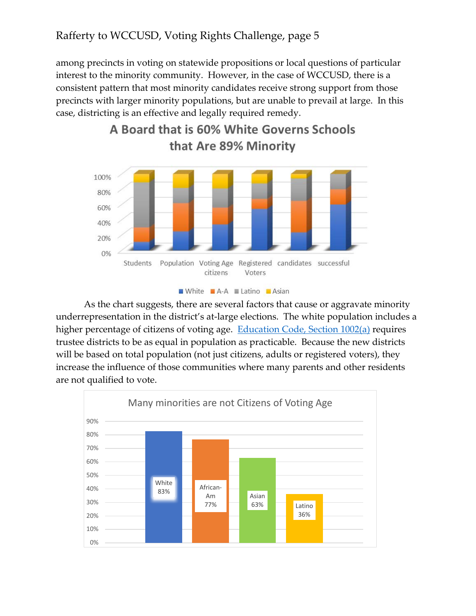among precincts in voting on statewide propositions or local questions of particular interest to the minority community. However, in the case of WCCUSD, there is a consistent pattern that most minority candidates receive strong support from those precincts with larger minority populations, but are unable to prevail at large. In this case, districting is an effective and legally required remedy.



# A Board that is 60% White Governs Schools

| <b>I</b> White | $TA-A$ | ∎ Latino | Asian |
|----------------|--------|----------|-------|
|                |        |          |       |

As the chart suggests, there are several factors that cause or aggravate minority underrepresentation in the district's at-large elections. The white population includes a higher percentage of citizens of voting age. [Education Code, Section 1002\(a\)](https://leginfo.legislature.ca.gov/faces/codes_displaySection.xhtml?sectionNum=1002.&lawCode=EDC) requires trustee districts to be as equal in population as practicable. Because the new districts will be based on total population (not just citizens, adults or registered voters), they increase the influence of those communities where many parents and other residents are not qualified to vote.

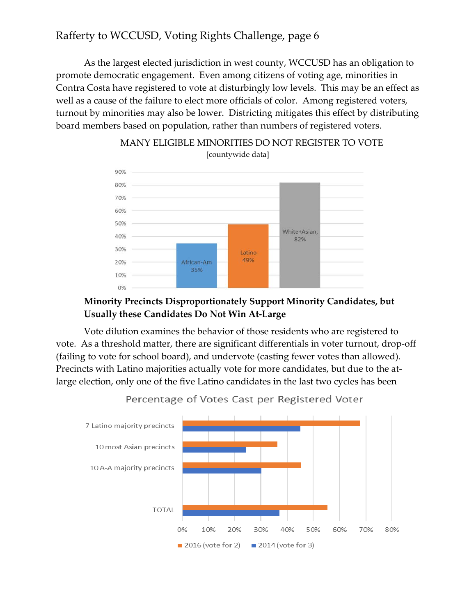As the largest elected jurisdiction in west county, WCCUSD has an obligation to promote democratic engagement. Even among citizens of voting age, minorities in Contra Costa have registered to vote at disturbingly low levels. This may be an effect as well as a cause of the failure to elect more officials of color. Among registered voters, turnout by minorities may also be lower. Districting mitigates this effect by distributing board members based on population, rather than numbers of registered voters.



#### MANY ELIGIBLE MINORITIES DO NOT REGISTER TO VOTE [countywide data]

#### **Minority Precincts Disproportionately Support Minority Candidates, but Usually these Candidates Do Not Win At-Large**

Vote dilution examines the behavior of those residents who are registered to vote. As a threshold matter, there are significant differentials in voter turnout, drop-off (failing to vote for school board), and undervote (casting fewer votes than allowed). Precincts with Latino majorities actually vote for more candidates, but due to the atlarge election, only one of the five Latino candidates in the last two cycles has been



Percentage of Votes Cast per Registered Voter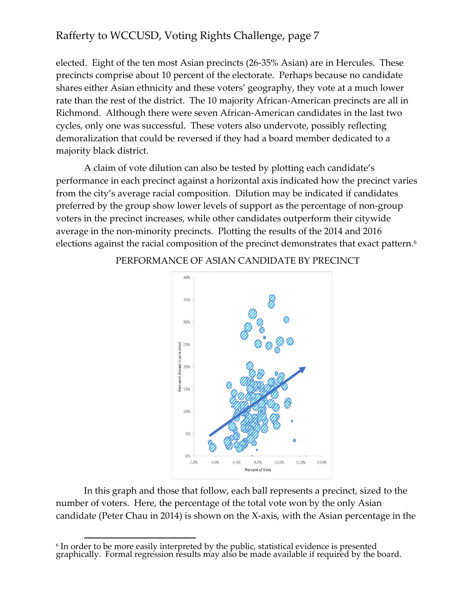elected. Eight of the ten most Asian precincts (26-35% Asian) are in Hercules. These precincts comprise about 10 percent of the electorate. Perhaps because no candidate shares either Asian ethnicity and these voters' geography, they vote at a much lower rate than the rest of the district. The 10 majority African-American precincts are all in Richmond. Although there were seven African-American candidates in the last two cycles, only one was successful. These voters also undervote, possibly reflecting demoralization that could be reversed if they had a board member dedicated to a majority black district.

A claim of vote dilution can also be tested by plotting each candidate's performance in each precinct against a horizontal axis indicated how the precinct varies from the city's average racial composition. Dilution may be indicated if candidates preferred by the group show lower levels of support as the percentage of non-group voters in the precinct increases, while other candidates outperform their citywide average in the non-minority precincts. Plotting the results of the 2014 and 2016 elections against the racial composition of the precinct demonstrates that exact pattern.<sup>[6](#page-6-0)</sup>



#### PERFORMANCE OF ASIAN CANDIDATE BY PRECINCT

In this graph and those that follow, each ball represents a precinct, sized to the number of voters. Here, the percentage of the total vote won by the only Asian candidate (Peter Chau in 2014) is shown on the X-axis, with the Asian percentage in the

<span id="page-6-0"></span><sup>&</sup>lt;sup>6</sup> In order to be more easily interpreted by the public, statistical evidence is presented graphically. Formal regression results may also be made available if required by the board.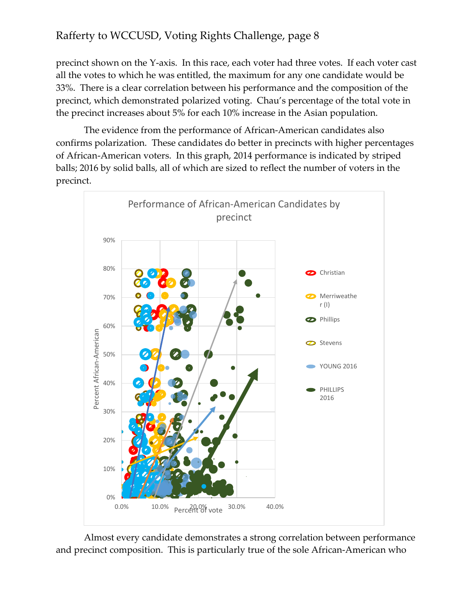precinct shown on the Y-axis. In this race, each voter had three votes. If each voter cast all the votes to which he was entitled, the maximum for any one candidate would be 33%. There is a clear correlation between his performance and the composition of the precinct, which demonstrated polarized voting. Chau's percentage of the total vote in the precinct increases about 5% for each 10% increase in the Asian population.

The evidence from the performance of African-American candidates also confirms polarization. These candidates do better in precincts with higher percentages of African-American voters. In this graph, 2014 performance is indicated by striped balls; 2016 by solid balls, all of which are sized to reflect the number of voters in the precinct.



Almost every candidate demonstrates a strong correlation between performance and precinct composition. This is particularly true of the sole African-American who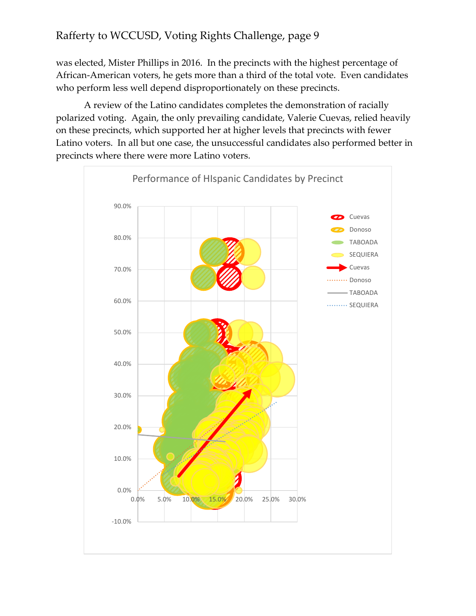was elected, Mister Phillips in 2016. In the precincts with the highest percentage of African-American voters, he gets more than a third of the total vote. Even candidates who perform less well depend disproportionately on these precincts.

A review of the Latino candidates completes the demonstration of racially polarized voting. Again, the only prevailing candidate, Valerie Cuevas, relied heavily on these precincts, which supported her at higher levels that precincts with fewer Latino voters. In all but one case, the unsuccessful candidates also performed better in precincts where there were more Latino voters.

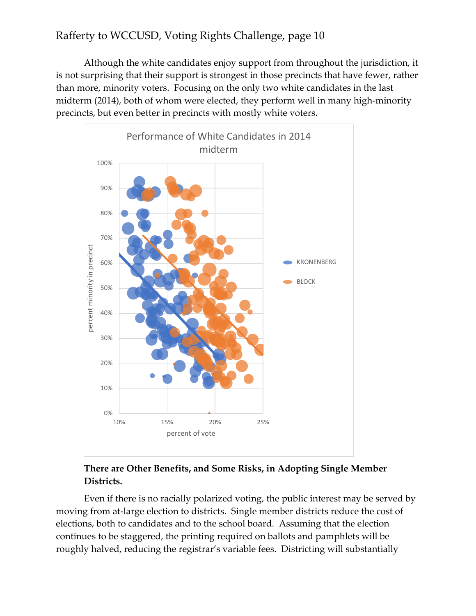Although the white candidates enjoy support from throughout the jurisdiction, it is not surprising that their support is strongest in those precincts that have fewer, rather than more, minority voters. Focusing on the only two white candidates in the last midterm (2014), both of whom were elected, they perform well in many high-minority precincts, but even better in precincts with mostly white voters.



#### **There are Other Benefits, and Some Risks, in Adopting Single Member Districts.**

Even if there is no racially polarized voting, the public interest may be served by moving from at-large election to districts. Single member districts reduce the cost of elections, both to candidates and to the school board. Assuming that the election continues to be staggered, the printing required on ballots and pamphlets will be roughly halved, reducing the registrar's variable fees. Districting will substantially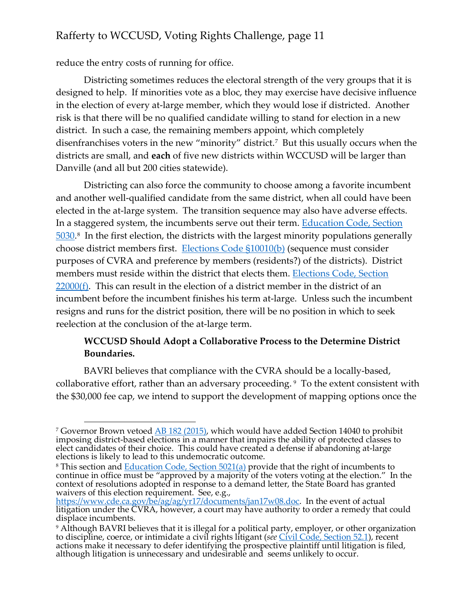reduce the entry costs of running for office.

Districting sometimes reduces the electoral strength of the very groups that it is designed to help. If minorities vote as a bloc, they may exercise have decisive influence in the election of every at-large member, which they would lose if districted. Another risk is that there will be no qualified candidate willing to stand for election in a new district. In such a case, the remaining members appoint, which completely disenfranchises voters in the new "minority" district.<sup>[7](#page-10-0)</sup> But this usually occurs when the districts are small, and **each** of five new districts within WCCUSD will be larger than Danville (and all but 200 cities statewide).

Districting can also force the community to choose among a favorite incumbent and another well-qualified candidate from the same district, when all could have been elected in the at-large system. The transition sequence may also have adverse effects. In a staggered system, the incumbents serve out their term. [Education Code, Section](https://leginfo.legislature.ca.gov/faces/codes_displaySection.xhtml?lawCode=EDC§ionNum=5030.)  [5030.](https://leginfo.legislature.ca.gov/faces/codes_displaySection.xhtml?lawCode=EDC§ionNum=5030.)[8](#page-10-1) In the first election, the districts with the largest minority populations generally choose district members first. [Elections Code §10010\(b\)](https://leginfo.legislature.ca.gov/faces/codes_displaySection.xhtml?sectionNum=10010.&lawCode=ELEC) (sequence must consider purposes of CVRA and preference by members (residents?) of the districts). District members must reside within the district that elects them. [Elections Code, Section](https://leginfo.legislature.ca.gov/faces/codes_displayText.xhtml?lawCode=ELEC&division=21.&title=&part=&chapter=8.&article=)   $22000(f)$ . This can result in the election of a district member in the district of an incumbent before the incumbent finishes his term at-large. Unless such the incumbent resigns and runs for the district position, there will be no position in which to seek reelection at the conclusion of the at-large term.

#### **WCCUSD Should Adopt a Collaborative Process to the Determine District Boundaries.**

BAVRI believes that compliance with the CVRA should be a locally-based, collaborative effort, rather than an adversary proceeding. [9](#page-10-2) To the extent consistent with the \$30,000 fee cap, we intend to support the development of mapping options once the

<span id="page-10-0"></span><sup>&</sup>lt;sup>7</sup> Governor Brown vetoed  $\frac{AB \ 182 \ (2015)}{AB \ 182 \ (2015)}$ , which would have added Section 14040 to prohibit imposing district-based elections in a manner that impairs the ability of protected classes to elect candidates

<span id="page-10-1"></span><sup>&</sup>lt;sup>8</sup> This section and <u>Education Code, Section 5021(a</u>) provide that the right of incumbents to continue in office must be "approved by a majority of the voters voting at the election." In the context of resolutions adopte waivers of this election requirement. See, e.g.,

[https://www.cde.ca.gov/be/ag/ag/yr17/documents/jan17w08.doc.](https://www.cde.ca.gov/be/ag/ag/yr17/documents/jan17w08.doc) In the event of actual litigation under the CVRA, however, a court may have authority to order a remedy that could displace incumbents.

<span id="page-10-2"></span><sup>&</sup>lt;sup>9</sup> Although BAVRI believes that it is illegal for a political party, employer, or other organization to discipline, coerce, or intimidate a civil rights litigant (*see* [Civil Code, Section 52.1\)](https://leginfo.legislature.ca.gov/faces/codes_displaySection.xhtml?sectionNum=52.1.&lawCode=CIV), recent actions make it necessary to defer identifying the prospective plaintiff until litigation is filed, although litigation is unnecessary and undesirable and seems unlikely to occur.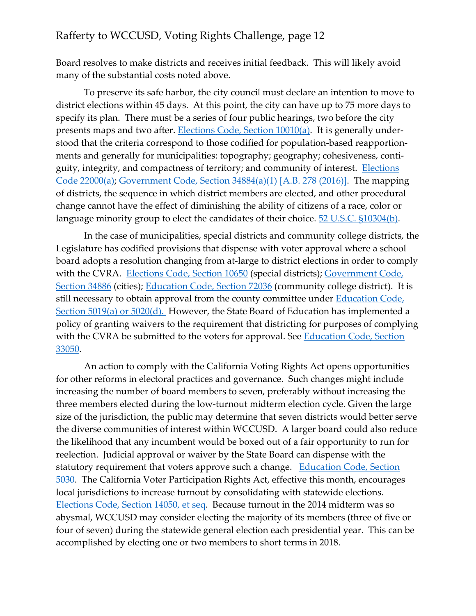Board resolves to make districts and receives initial feedback. This will likely avoid many of the substantial costs noted above.

To preserve its safe harbor, the city council must declare an intention to move to district elections within 45 days. At this point, the city can have up to 75 more days to specify its plan. There must be a series of four public hearings, two before the city presents maps and two after. [Elections Code, Section 10010\(a\).](https://leginfo.legislature.ca.gov/faces/codes_displaySection.xhtml?sectionNum=10010.&lawCode=ELEC) It is generally understood that the criteria correspond to those codified for population-based reapportionments and generally for municipalities: topography; geography; cohesiveness, contiguity, integrity, and compactness of territory; and community of interest. **Elections** [Code 22000\(a\);](https://leginfo.legislature.ca.gov/faces/codes_displayText.xhtml?lawCode=ELEC&division=21.&title=&part=&chapter=8.&article=) [Government Code, Section 34884\(a\)\(1\) \[A.B. 278 \(2016\)\].](https://leginfo.legislature.ca.gov/faces/billNavClient.xhtml?bill_id=201520160AB278) The mapping of districts, the sequence in which district members are elected, and other procedural change cannot have the effect of diminishing the ability of citizens of a race, color or language minority group to elect the candidates of their choice. [52 U.S.C. §10304\(b\).](https://www.law.cornell.edu/uscode/text/52/10304)

In the case of municipalities, special districts and community college districts, the Legislature has codified provisions that dispense with voter approval where a school board adopts a resolution changing from at-large to district elections in order to comply with the CVRA. [Elections Code, Section 10650](https://leginfo.legislature.ca.gov/faces/codes_displaySection.xhtml?sectionNum=10650.&lawCode=ELEC) (special districts); [Government Code,](https://leginfo.legislature.ca.gov/faces/codes_displaySection.xhtml?sectionNum=34886.&lawCode=GOV)  [Section 34886](https://leginfo.legislature.ca.gov/faces/codes_displaySection.xhtml?sectionNum=34886.&lawCode=GOV) (cities); [Education Code, Section 72036](https://leginfo.legislature.ca.gov/faces/codes_displaySection.xhtml?sectionNum=72036.&lawCode=EDC) (community college district). It is still necessary to obtain approval from the county committee under **Education Code**, [Section 5019\(a\) or 5020\(d\).](https://leginfo.legislature.ca.gov/faces/codes_displayText.xhtml?lawCode=EDC&division=1.&title=1.&part=4.&chapter=1.&article=1.) However, the State Board of Education has implemented a policy of granting waivers to the requirement that districting for purposes of complying with the CVRA be submitted to the voters for approval. See Education Code, Section [33050.](https://leginfo.legislature.ca.gov/faces/codes_displayText.xhtml?lawCode=EDC&division=2.&title=2.&part=20.&chapter=1.&article=3.)

An action to comply with the California Voting Rights Act opens opportunities for other reforms in electoral practices and governance. Such changes might include increasing the number of board members to seven, preferably without increasing the three members elected during the low-turnout midterm election cycle. Given the large size of the jurisdiction, the public may determine that seven districts would better serve the diverse communities of interest within WCCUSD. A larger board could also reduce the likelihood that any incumbent would be boxed out of a fair opportunity to run for reelection. Judicial approval or waiver by the State Board can dispense with the statutory requirement that voters approve such a change. [Education Code, Section](https://leginfo.legislature.ca.gov/faces/codes_displaySection.xhtml?sectionNum=5030.&lawCode=EDC)  [5030.](https://leginfo.legislature.ca.gov/faces/codes_displaySection.xhtml?sectionNum=5030.&lawCode=EDC) The California Voter Participation Rights Act, effective this month, encourages local jurisdictions to increase turnout by consolidating with statewide elections. [Elections Code, Section 14050, et seq.](https://leginfo.legislature.ca.gov/faces/codes_displayText.xhtml?lawCode=ELEC&division=14.&title=&part=&chapter=1.7.&article=) Because turnout in the 2014 midterm was so abysmal, WCCUSD may consider electing the majority of its members (three of five or four of seven) during the statewide general election each presidential year. This can be accomplished by electing one or two members to short terms in 2018.